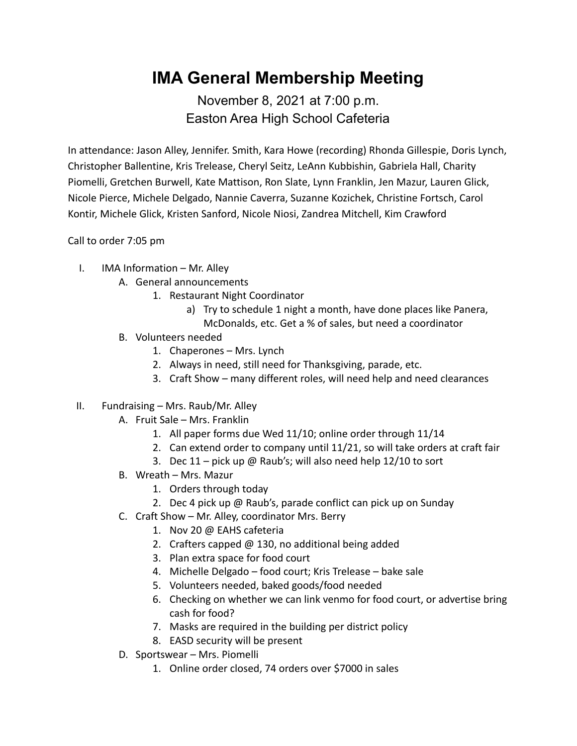## **IMA General Membership Meeting**

November 8, 2021 at 7:00 p.m. Easton Area High School Cafeteria

In attendance: Jason Alley, Jennifer. Smith, Kara Howe (recording) Rhonda Gillespie, Doris Lynch, Christopher Ballentine, Kris Trelease, Cheryl Seitz, LeAnn Kubbishin, Gabriela Hall, Charity Piomelli, Gretchen Burwell, Kate Mattison, Ron Slate, Lynn Franklin, Jen Mazur, Lauren Glick, Nicole Pierce, Michele Delgado, Nannie Caverra, Suzanne Kozichek, Christine Fortsch, Carol Kontir, Michele Glick, Kristen Sanford, Nicole Niosi, Zandrea Mitchell, Kim Crawford

Call to order 7:05 pm

- I. IMA Information Mr. Alley
	- A. General announcements
		- 1. Restaurant Night Coordinator
			- a) Try to schedule 1 night a month, have done places like Panera, McDonalds, etc. Get a % of sales, but need a coordinator
	- B. Volunteers needed
		- 1. Chaperones Mrs. Lynch
		- 2. Always in need, still need for Thanksgiving, parade, etc.
		- 3. Craft Show many different roles, will need help and need clearances
- II. Fundraising Mrs. Raub/Mr. Alley
	- A. Fruit Sale Mrs. Franklin
		- 1. All paper forms due Wed 11/10; online order through 11/14
		- 2. Can extend order to company until 11/21, so will take orders at craft fair
		- 3. Dec 11 pick up @ Raub's; will also need help 12/10 to sort
	- B. Wreath Mrs. Mazur
		- 1. Orders through today
		- 2. Dec 4 pick up @ Raub's, parade conflict can pick up on Sunday
	- C. Craft Show Mr. Alley, coordinator Mrs. Berry
		- 1. Nov 20 @ EAHS cafeteria
		- 2. Crafters capped @ 130, no additional being added
		- 3. Plan extra space for food court
		- 4. Michelle Delgado food court; Kris Trelease bake sale
		- 5. Volunteers needed, baked goods/food needed
		- 6. Checking on whether we can link venmo for food court, or advertise bring cash for food?
		- 7. Masks are required in the building per district policy
		- 8. EASD security will be present
	- D. Sportswear Mrs. Piomelli
		- 1. Online order closed, 74 orders over \$7000 in sales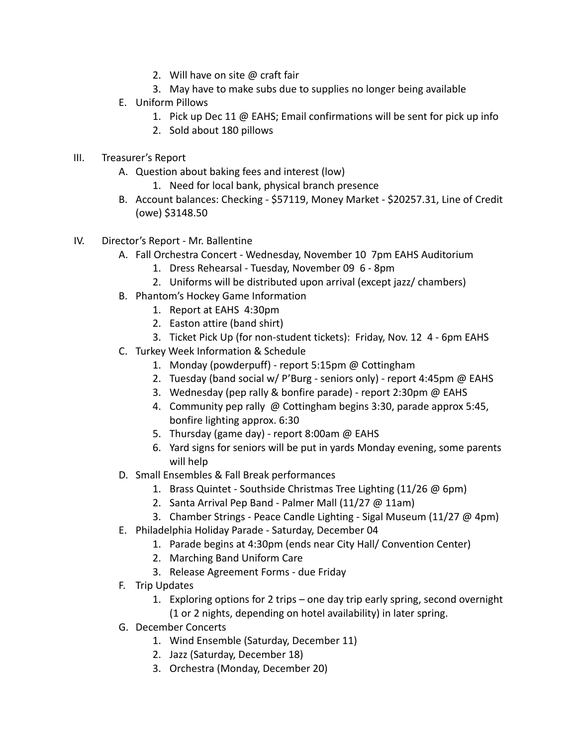- 2. Will have on site @ craft fair
- 3. May have to make subs due to supplies no longer being available
- E. Uniform Pillows
	- 1. Pick up Dec 11 @ EAHS; Email confirmations will be sent for pick up info
	- 2. Sold about 180 pillows
- III. Treasurer's Report
	- A. Question about baking fees and interest (low)
		- 1. Need for local bank, physical branch presence
	- B. Account balances: Checking \$57119, Money Market \$20257.31, Line of Credit (owe) \$3148.50
- IV. Director's Report Mr. Ballentine
	- A. Fall Orchestra Concert Wednesday, November 10 7pm EAHS Auditorium
		- 1. Dress Rehearsal Tuesday, November 09 6 8pm
		- 2. Uniforms will be distributed upon arrival (except jazz/ chambers)
	- B. Phantom's Hockey Game Information
		- 1. Report at EAHS 4:30pm
		- 2. Easton attire (band shirt)
		- 3. Ticket Pick Up (for non-student tickets): Friday, Nov. 12 4 6pm EAHS
	- C. Turkey Week Information & Schedule
		- 1. Monday (powderpuff) report 5:15pm @ Cottingham
		- 2. Tuesday (band social w/ P'Burg seniors only) report 4:45pm @ EAHS
		- 3. Wednesday (pep rally & bonfire parade) report 2:30pm @ EAHS
		- 4. Community pep rally @ Cottingham begins 3:30, parade approx 5:45, bonfire lighting approx. 6:30
		- 5. Thursday (game day) report 8:00am @ EAHS
		- 6. Yard signs for seniors will be put in yards Monday evening, some parents will help
	- D. Small Ensembles & Fall Break performances
		- 1. Brass Quintet Southside Christmas Tree Lighting (11/26 @ 6pm)
		- 2. Santa Arrival Pep Band Palmer Mall (11/27 @ 11am)
		- 3. Chamber Strings Peace Candle Lighting Sigal Museum (11/27 @ 4pm)
	- E. Philadelphia Holiday Parade Saturday, December 04
		- 1. Parade begins at 4:30pm (ends near City Hall/ Convention Center)
		- 2. Marching Band Uniform Care
		- 3. Release Agreement Forms due Friday
	- F. Trip Updates
		- 1. Exploring options for 2 trips one day trip early spring, second overnight (1 or 2 nights, depending on hotel availability) in later spring.
	- G. December Concerts
		- 1. Wind Ensemble (Saturday, December 11)
		- 2. Jazz (Saturday, December 18)
		- 3. Orchestra (Monday, December 20)